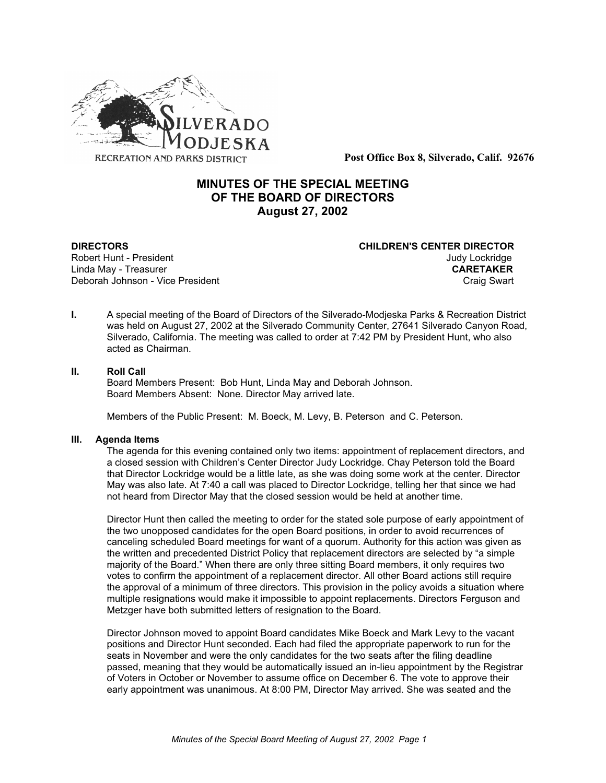

**Post Office Box 8, Silverado, Calif. 92676**

# **MINUTES OF THE SPECIAL MEETING OF THE BOARD OF DIRECTORS August 27, 2002**

**Linda May - Treasurer** 

**DIRECTORS CHILDREN'S CENTER DIRECTOR** Robert Hunt - President and the state of the state of the state of the state of the state of the United States<br>CARETAKER CONSERVATION CONTROLLER Deborah Johnson - Vice President Craig Swart Craig Swart

**I.** A special meeting of the Board of Directors of the Silverado-Modjeska Parks & Recreation District was held on August 27, 2002 at the Silverado Community Center, 27641 Silverado Canyon Road, Silverado, California. The meeting was called to order at 7:42 PM by President Hunt, who also acted as Chairman.

### **II. Roll Call**

Board Members Present: Bob Hunt, Linda May and Deborah Johnson. Board Members Absent: None. Director May arrived late.

Members of the Public Present: M. Boeck, M. Levy, B. Peterson and C. Peterson.

#### **III. Agenda Items**

The agenda for this evening contained only two items: appointment of replacement directors, and a closed session with Children's Center Director Judy Lockridge. Chay Peterson told the Board that Director Lockridge would be a little late, as she was doing some work at the center. Director May was also late. At 7:40 a call was placed to Director Lockridge, telling her that since we had not heard from Director May that the closed session would be held at another time.

Director Hunt then called the meeting to order for the stated sole purpose of early appointment of the two unopposed candidates for the open Board positions, in order to avoid recurrences of canceling scheduled Board meetings for want of a quorum. Authority for this action was given as the written and precedented District Policy that replacement directors are selected by "a simple majority of the Board." When there are only three sitting Board members, it only requires two votes to confirm the appointment of a replacement director. All other Board actions still require the approval of a minimum of three directors. This provision in the policy avoids a situation where multiple resignations would make it impossible to appoint replacements. Directors Ferguson and Metzger have both submitted letters of resignation to the Board.

Director Johnson moved to appoint Board candidates Mike Boeck and Mark Levy to the vacant positions and Director Hunt seconded. Each had filed the appropriate paperwork to run for the seats in November and were the only candidates for the two seats after the filing deadline passed, meaning that they would be automatically issued an in-lieu appointment by the Registrar of Voters in October or November to assume office on December 6. The vote to approve their early appointment was unanimous. At 8:00 PM, Director May arrived. She was seated and the